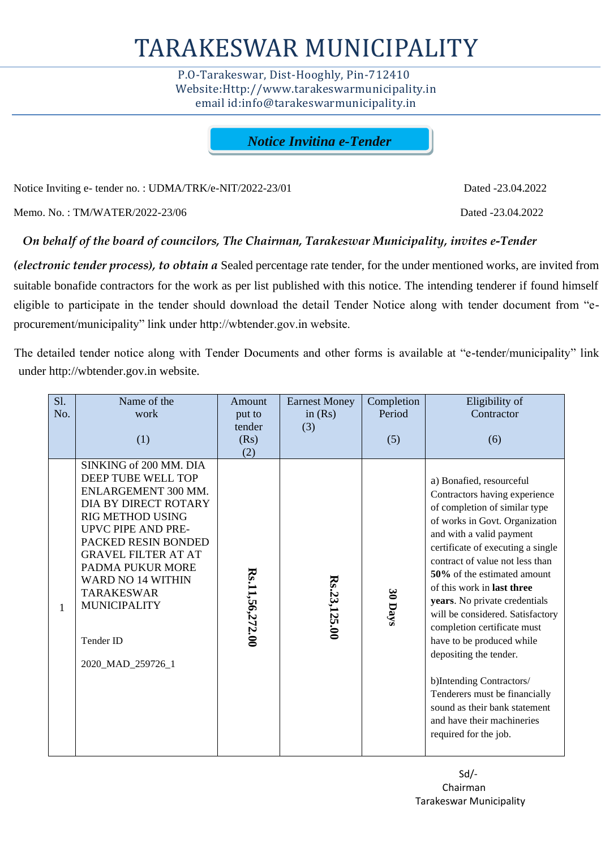# TARAKESWAR MUNICIPALITY

 P.O-Tarakeswar, Dist-Hooghly, Pin-712410 Website:Http://www.tarakeswarmunicipality.in email id:info@tarakeswarmunicipality.in

*Notice Inviting e-Tender*

Notice Inviting e- tender no. : UDMA/TRK/e-NIT/2022-23/01 Dated -23.04.2022

Memo. No. : TM/WATER/2022-23/06 Dated -23.04.2022

# *On behalf of the board of councilors, The Chairman, Tarakeswar Municipality, invites e-Tender*

*(electronic tender process), to obtain a* Sealed percentage rate tender, for the under mentioned works, are invited from suitable bonafide contractors for the work as per list published with this notice. The intending tenderer if found himself eligible to participate in the tender should download the detail Tender Notice along with tender document from "eprocurement/municipality" link under http://wbtender.gov.in website.

The detailed tender notice along with Tender Documents and other forms is available at "e-tender/municipality" link under http://wbtender.gov.in website.

| S1. | Name of the                                                                                                                                                                                                                                                                                                                            | Amount                | <b>Earnest Money</b> | Completion | Eligibility of                                                                                                                                                                                                                                                                                                                                                                                                                                                                                                                                                                                                |  |  |
|-----|----------------------------------------------------------------------------------------------------------------------------------------------------------------------------------------------------------------------------------------------------------------------------------------------------------------------------------------|-----------------------|----------------------|------------|---------------------------------------------------------------------------------------------------------------------------------------------------------------------------------------------------------------------------------------------------------------------------------------------------------------------------------------------------------------------------------------------------------------------------------------------------------------------------------------------------------------------------------------------------------------------------------------------------------------|--|--|
| No. | work                                                                                                                                                                                                                                                                                                                                   | put to                | in $(Rs)$            | Period     | Contractor                                                                                                                                                                                                                                                                                                                                                                                                                                                                                                                                                                                                    |  |  |
|     | (1)                                                                                                                                                                                                                                                                                                                                    | tender<br>(Rs)<br>(2) | (3)                  | (5)        | (6)                                                                                                                                                                                                                                                                                                                                                                                                                                                                                                                                                                                                           |  |  |
| 1   | SINKING of 200 MM. DIA<br>DEEP TUBE WELL TOP<br>ENLARGEMENT 300 MM.<br>DIA BY DIRECT ROTARY<br><b>RIG METHOD USING</b><br><b>UPVC PIPE AND PRE-</b><br>PACKED RESIN BONDED<br><b>GRAVEL FILTER AT AT</b><br>PADMA PUKUR MORE<br><b>WARD NO 14 WITHIN</b><br><b>TARAKESWAR</b><br><b>MUNICIPALITY</b><br>Tender ID<br>2020_MAD_259726_1 | Rs.11,56,272.00       | Rs.23,125.00         | 30 Days    | a) Bonafied, resourceful<br>Contractors having experience<br>of completion of similar type<br>of works in Govt. Organization<br>and with a valid payment<br>certificate of executing a single<br>contract of value not less than<br>50% of the estimated amount<br>of this work in last three<br>years. No private credentials<br>will be considered. Satisfactory<br>completion certificate must<br>have to be produced while<br>depositing the tender.<br>b)Intending Contractors/<br>Tenderers must be financially<br>sound as their bank statement<br>and have their machineries<br>required for the job. |  |  |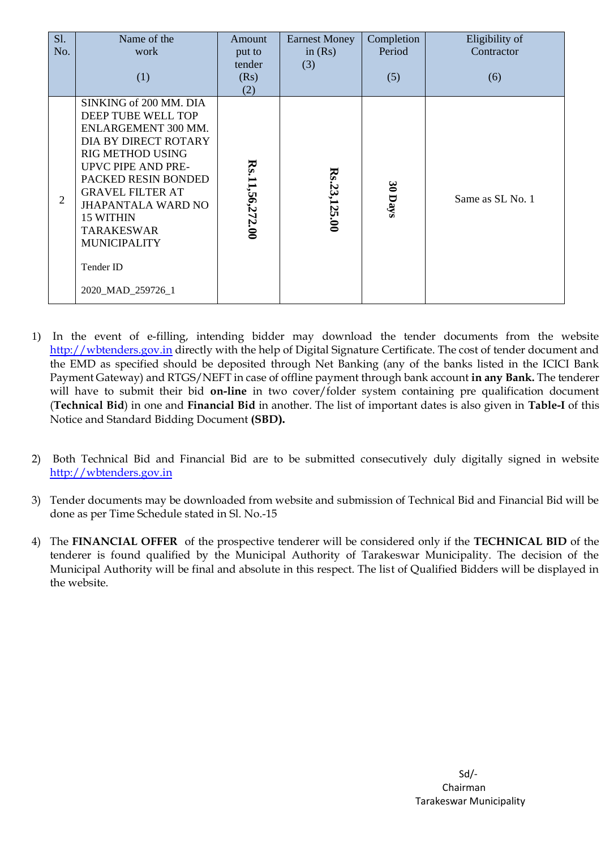| <b>S1.</b><br>No. | Name of the<br>work<br>(1)                                                                                                                                                                                                                                                                                             | Amount<br>put to<br>tender<br>(Rs)<br>(2) | <b>Earnest Money</b><br>in $(Rs)$<br>(3) | Completion<br>Period<br>(5) | Eligibility of<br>Contractor<br>(6) |
|-------------------|------------------------------------------------------------------------------------------------------------------------------------------------------------------------------------------------------------------------------------------------------------------------------------------------------------------------|-------------------------------------------|------------------------------------------|-----------------------------|-------------------------------------|
| 2                 | SINKING of 200 MM. DIA<br>DEEP TUBE WELL TOP<br>ENLARGEMENT 300 MM.<br>DIA BY DIRECT ROTARY<br><b>RIG METHOD USING</b><br>UPVC PIPE AND PRE-<br>PACKED RESIN BONDED<br><b>GRAVEL FILTER AT</b><br><b>JHAPANTALA WARD NO</b><br>15 WITHIN<br><b>TARAKESWAR</b><br><b>MUNICIPALITY</b><br>Tender ID<br>2020_MAD_259726_1 | Rs.11,56,272.00                           | Rs.23,125.00                             | 30 Days                     | Same as SL No. 1                    |

- 1) In the event of e-filling, intending bidder may download the tender documents from the website [http://wbtenders.gov.in](http://wbtenders.gov.in/) directly with the help of Digital Signature Certificate. The cost of tender document and the EMD as specified should be deposited through Net Banking (any of the banks listed in the ICICI Bank Payment Gateway) and RTGS/NEFT in case of offline payment through bank account **in any Bank.** The tenderer will have to submit their bid **on-line** in two cover/folder system containing pre qualification document (**Technical Bid**) in one and **Financial Bid** in another. The list of important dates is also given in **Table-I** of this Notice and Standard Bidding Document **(SBD).**
- 2) Both Technical Bid and Financial Bid are to be submitted consecutively duly digitally signed in website [http://wbtenders.gov.in](http://wbtenders.gov.in/)
- 3) Tender documents may be downloaded from website and submission of Technical Bid and Financial Bid will be done as per Time Schedule stated in Sl. No.-15
- 4) The **FINANCIAL OFFER** of the prospective tenderer will be considered only if the **TECHNICAL BID** of the tenderer is found qualified by the Municipal Authority of Tarakeswar Municipality. The decision of the Municipal Authority will be final and absolute in this respect. The list of Qualified Bidders will be displayed in the website.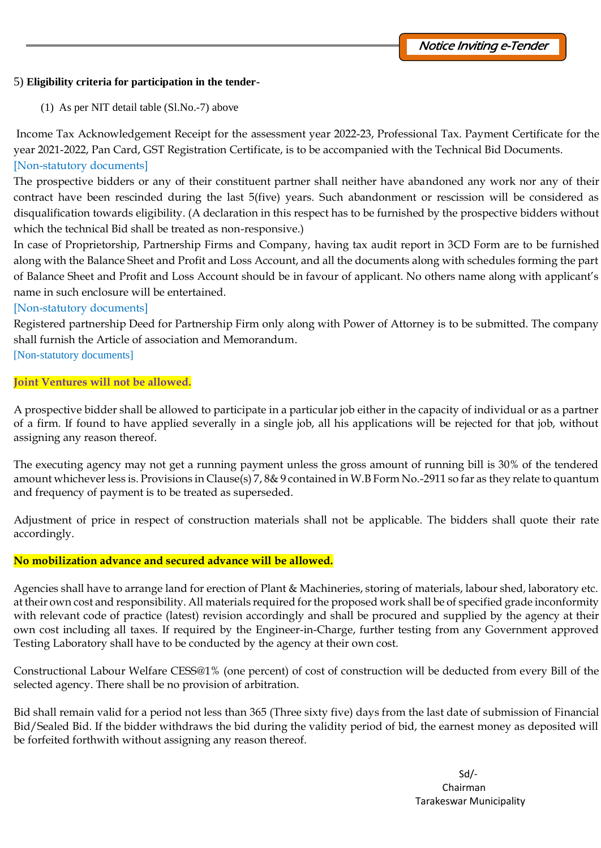# 5) **Eligibility criteria for participation in the tender-**

(1) As per NIT detail table (Sl.No.-7) above

Income Tax Acknowledgement Receipt for the assessment year 2022-23, Professional Tax. Payment Certificate for the year 2021-2022, Pan Card, GST Registration Certificate, is to be accompanied with the Technical Bid Documents. [Non-statutory documents]

The prospective bidders or any of their constituent partner shall neither have abandoned any work nor any of their contract have been rescinded during the last 5(five) years. Such abandonment or rescission will be considered as disqualification towards eligibility. (A declaration in this respect has to be furnished by the prospective bidders without which the technical Bid shall be treated as non-responsive.)

In case of Proprietorship, Partnership Firms and Company, having tax audit report in 3CD Form are to be furnished along with the Balance Sheet and Profit and Loss Account, and all the documents along with schedules forming the part of Balance Sheet and Profit and Loss Account should be in favour of applicant. No others name along with applicant's name in such enclosure will be entertained.

# [Non-statutory documents]

Registered partnership Deed for Partnership Firm only along with Power of Attorney is to be submitted. The company shall furnish the Article of association and Memorandum.

[Non-statutory documents]

# **Joint Ventures will not be allowed.**

A prospective bidder shall be allowed to participate in a particular job either in the capacity of individual or as a partner of a firm. If found to have applied severally in a single job, all his applications will be rejected for that job, without assigning any reason thereof.

The executing agency may not get a running payment unless the gross amount of running bill is 30% of the tendered amount whichever less is. Provisions in Clause(s) 7, 8& 9 contained in W.B Form No.-2911 so far as they relate to quantum and frequency of payment is to be treated as superseded.

Adjustment of price in respect of construction materials shall not be applicable. The bidders shall quote their rate accordingly.

# **No mobilization advance and secured advance will be allowed.**

Agencies shall have to arrange land for erection of Plant & Machineries, storing of materials, labour shed, laboratory etc. at their own cost and responsibility. All materials required for the proposed work shall be of specified grade inconformity with relevant code of practice (latest) revision accordingly and shall be procured and supplied by the agency at their own cost including all taxes. If required by the Engineer-in-Charge, further testing from any Government approved Testing Laboratory shall have to be conducted by the agency at their own cost.

Constructional Labour Welfare CESS@1% (one percent) of cost of construction will be deducted from every Bill of the selected agency. There shall be no provision of arbitration.

Bid shall remain valid for a period not less than 365 (Three sixty five) days from the last date of submission of Financial Bid/Sealed Bid. If the bidder withdraws the bid during the validity period of bid, the earnest money as deposited will be forfeited forthwith without assigning any reason thereof.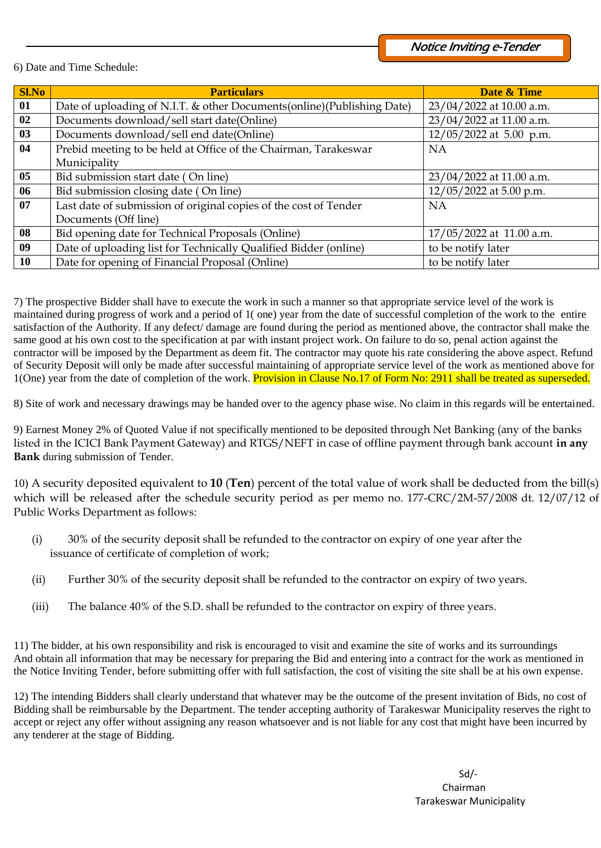## 6) Date and Time Schedule:

| <b>Sl.No</b> | <b>Particulars</b>                                                     | Date & Time                |  |  |
|--------------|------------------------------------------------------------------------|----------------------------|--|--|
| 01           | Date of uploading of N.I.T. & other Documents(online)(Publishing Date) | 23/04/2022 at 10.00 a.m.   |  |  |
| 02           | Documents download/sell start date(Online)                             | 23/04/2022 at 11.00 a.m.   |  |  |
| 03           | Documents download/sell end date(Online)                               | $12/05/2022$ at 5.00 p.m.  |  |  |
| 04           | Prebid meeting to be held at Office of the Chairman, Tarakeswar        | <b>NA</b>                  |  |  |
|              | Municipality                                                           |                            |  |  |
| 05           | Bid submission start date (On line)                                    | 23/04/2022 at 11.00 a.m.   |  |  |
| 06           | Bid submission closing date (On line)                                  | 12/05/2022 at 5.00 p.m.    |  |  |
| 07           | Last date of submission of original copies of the cost of Tender       | <b>NA</b>                  |  |  |
|              | Documents (Off line)                                                   |                            |  |  |
| 08           | Bid opening date for Technical Proposals (Online)                      | $17/05/2022$ at 11.00 a.m. |  |  |
| 09           | Date of uploading list for Technically Qualified Bidder (online)       | to be notify later         |  |  |
| <b>10</b>    | Date for opening of Financial Proposal (Online)                        | to be notify later         |  |  |

7) The prospective Bidder shall have to execute the work in such a manner so that appropriate service level of the work is maintained during progress of work and a period of 1( one) year from the date of successful completion of the work to the entire satisfaction of the Authority. If any defect/ damage are found during the period as mentioned above, the contractor shall make the same good at his own cost to the specification at par with instant project work. On failure to do so, penal action against the contractor will be imposed by the Department as deem fit. The contractor may quote his rate considering the above aspect. Refund of Security Deposit will only be made after successful maintaining of appropriate service level of the work as mentioned above for 1(One) year from the date of completion of the work. Provision in Clause No.17 of Form No: 2911 shall be treated as superseded.

8) Site of work and necessary drawings may be handed over to the agency phase wise. No claim in this regards will be entertained.

9) Earnest Money 2% of Quoted Value if not specifically mentioned to be deposited through Net Banking (any of the banks listed in the ICICI Bank Payment Gateway) and RTGS/NEFT in case of offline payment through bank account **in any Bank** during submission of Tender.

10) A security deposited equivalent to **10** (**Ten**) percent of the total value of work shall be deducted from the bill(s) which will be released after the schedule security period as per memo no. 177-CRC/2M-57/2008 dt. 12/07/12 of Public Works Department as follows:

- (i) 30% of the security deposit shall be refunded to the contractor on expiry of one year after the issuance of certificate of completion of work;
- (ii) Further 30% of the security deposit shall be refunded to the contractor on expiry of two years.
- (iii) The balance 40% of the S.D. shall be refunded to the contractor on expiry of three years.

11) The bidder, at his own responsibility and risk is encouraged to visit and examine the site of works and its surroundings And obtain all information that may be necessary for preparing the Bid and entering into a contract for the work as mentioned in the Notice Inviting Tender, before submitting offer with full satisfaction, the cost of visiting the site shall be at his own expense.

12) The intending Bidders shall clearly understand that whatever may be the outcome of the present invitation of Bids, no cost of Bidding shall be reimbursable by the Department. The tender accepting authority of Tarakeswar Municipality reserves the right to accept or reject any offer without assigning any reason whatsoever and is not liable for any cost that might have been incurred by any tenderer at the stage of Bidding.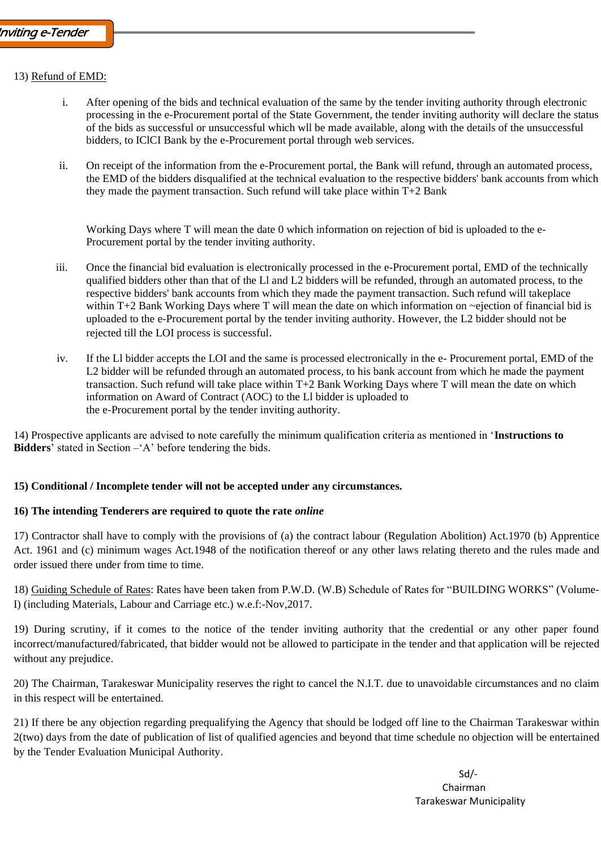## 13) Refund of EMD:

- i. After opening of the bids and technical evaluation of the same by the tender inviting authority through electronic processing in the e-Procurement portal of the State Government, the tender inviting authority will declare the status of the bids as successful or unsuccessful which wll be made available, along with the details of the unsuccessful bidders, to IClCI Bank by the e-Procurement portal through web services.
- ii. On receipt of the information from the e-Procurement portal, the Bank will refund, through an automated process, the EMD of the bidders disqualified at the technical evaluation to the respective bidders' bank accounts from which they made the payment transaction. Such refund will take place within T+2 Bank

Working Days where T will mean the date 0 which information on rejection of bid is uploaded to the e-Procurement portal by the tender inviting authority.

- iii. Once the financial bid evaluation is electronically processed in the e-Procurement portal, EMD of the technically qualified bidders other than that of the Ll and L2 bidders will be refunded, through an automated process, to the respective bidders' bank accounts from which they made the payment transaction. Such refund will takeplace within T+2 Bank Working Days where T will mean the date on which information on ~ejection of financial bid is uploaded to the e-Procurement portal by the tender inviting authority. However, the L2 bidder should not be rejected till the LOI process is successful.
- iv. If the Ll bidder accepts the LOI and the same is processed electronically in the e- Procurement portal, EMD of the L2 bidder will be refunded through an automated process, to his bank account from which he made the payment transaction. Such refund will take place within T+2 Bank Working Days where T will mean the date on which information on Award of Contract (AOC) to the Ll bidder is uploaded to the e-Procurement portal by the tender inviting authority.

14) Prospective applicants are advised to note carefully the minimum qualification criteria as mentioned in '**Instructions to Bidders**' stated in Section –'A' before tendering the bids.

#### **15) Conditional / Incomplete tender will not be accepted under any circumstances.**

#### **16) The intending Tenderers are required to quote the rate** *online*

17) Contractor shall have to comply with the provisions of (a) the contract labour (Regulation Abolition) Act.1970 (b) Apprentice Act. 1961 and (c) minimum wages Act.1948 of the notification thereof or any other laws relating thereto and the rules made and order issued there under from time to time.

18) Guiding Schedule of Rates: Rates have been taken from P.W.D. (W.B) Schedule of Rates for "BUILDING WORKS" (Volume-I) (including Materials, Labour and Carriage etc.) w.e.f:-Nov,2017.

19) During scrutiny, if it comes to the notice of the tender inviting authority that the credential or any other paper found incorrect/manufactured/fabricated, that bidder would not be allowed to participate in the tender and that application will be rejected without any prejudice.

20) The Chairman, Tarakeswar Municipality reserves the right to cancel the N.I.T. due to unavoidable circumstances and no claim in this respect will be entertained.

21) If there be any objection regarding prequalifying the Agency that should be lodged off line to the Chairman Tarakeswar within 2(two) days from the date of publication of list of qualified agencies and beyond that time schedule no objection will be entertained by the Tender Evaluation Municipal Authority.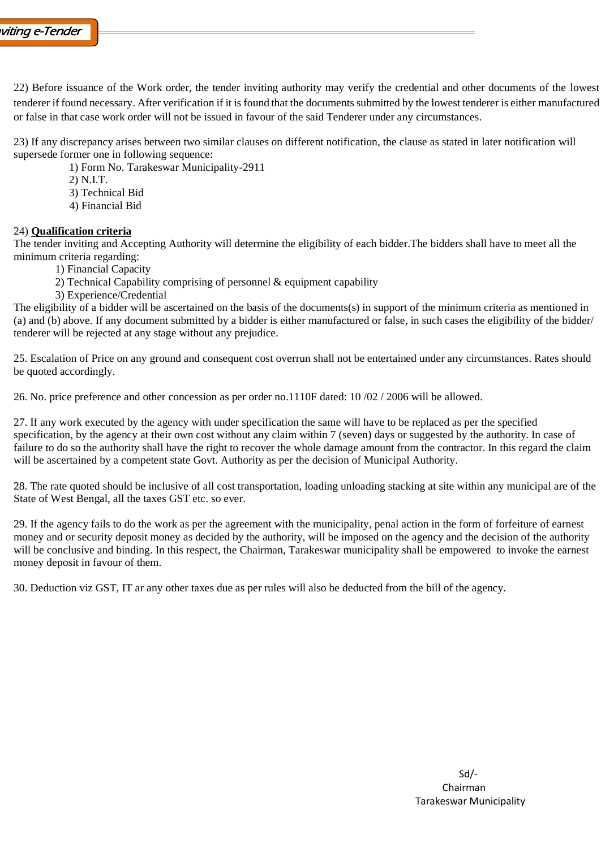22) Before issuance of the Work order, the tender inviting authority may verify the credential and other documents of the lowest tenderer if found necessary. After verification if it is found that the documents submitted by the lowest tenderer is either manufactured or false in that case work order will not be issued in favour of the said Tenderer under any circumstances.

23) If any discrepancy arises between two similar clauses on different notification, the clause as stated in later notification will supersede former one in following sequence:

1) Form No. Tarakeswar Municipality-2911

2) N.I.T.

- 3) Technical Bid
- 4) Financial Bid

## 24) **Qualification criteria**

The tender inviting and Accepting Authority will determine the eligibility of each bidder.The bidders shall have to meet all the minimum criteria regarding:

- 1) Financial Capacity
- 2) Technical Capability comprising of personnel & equipment capability
- 3) Experience/Credential

The eligibility of a bidder will be ascertained on the basis of the documents(s) in support of the minimum criteria as mentioned in (a) and (b) above. If any document submitted by a bidder is either manufactured or false, in such cases the eligibility of the bidder/ tenderer will be rejected at any stage without any prejudice.

25. Escalation of Price on any ground and consequent cost overrun shall not be entertained under any circumstances. Rates should be quoted accordingly.

26. No. price preference and other concession as per order no.1110F dated: 10 /02 / 2006 will be allowed.

27. If any work executed by the agency with under specification the same will have to be replaced as per the specified specification, by the agency at their own cost without any claim within 7 (seven) days or suggested by the authority. In case of failure to do so the authority shall have the right to recover the whole damage amount from the contractor. In this regard the claim will be ascertained by a competent state Govt. Authority as per the decision of Municipal Authority.

28. The rate quoted should be inclusive of all cost transportation, loading unloading stacking at site within any municipal are of the State of West Bengal, all the taxes GST etc. so ever.

29. If the agency fails to do the work as per the agreement with the municipality, penal action in the form of forfeiture of earnest money and or security deposit money as decided by the authority, will be imposed on the agency and the decision of the authority will be conclusive and binding. In this respect, the Chairman, Tarakeswar municipality shall be empowered to invoke the earnest money deposit in favour of them.

30. Deduction viz GST, IT ar any other taxes due as per rules will also be deducted from the bill of the agency.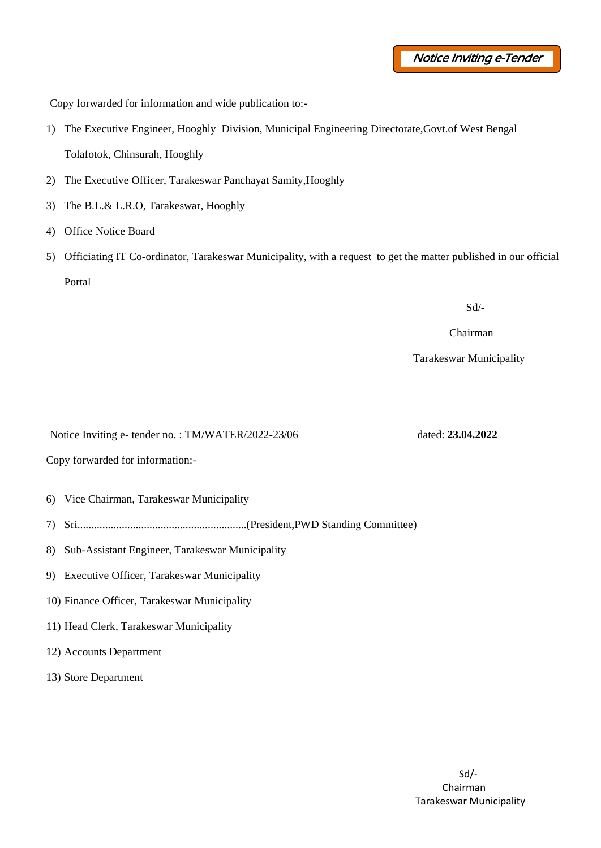Copy forwarded for information and wide publication to:-

- 1) The Executive Engineer, Hooghly Division, Municipal Engineering Directorate,Govt.of West Bengal Tolafotok, Chinsurah, Hooghly
- 2) The Executive Officer, Tarakeswar Panchayat Samity,Hooghly
- 3) The B.L.& L.R.O, Tarakeswar, Hooghly
- 4) Office Notice Board
- 5) Officiating IT Co-ordinator, Tarakeswar Municipality, with a request to get the matter published in our official Portal

Sd/-

Chairman

Tarakeswar Municipality

Notice Inviting e- tender no. : TM/WATER/2022-23/06 dated: **23.04.2022**

Copy forwarded for information:-

- 6) Vice Chairman, Tarakeswar Municipality
- 7) Sri.............................................................(President,PWD Standing Committee)
- 8) Sub-Assistant Engineer, Tarakeswar Municipality
- 9) Executive Officer, Tarakeswar Municipality
- 10) Finance Officer, Tarakeswar Municipality
- 11) Head Clerk, Tarakeswar Municipality
- 12) Accounts Department
- 13) Store Department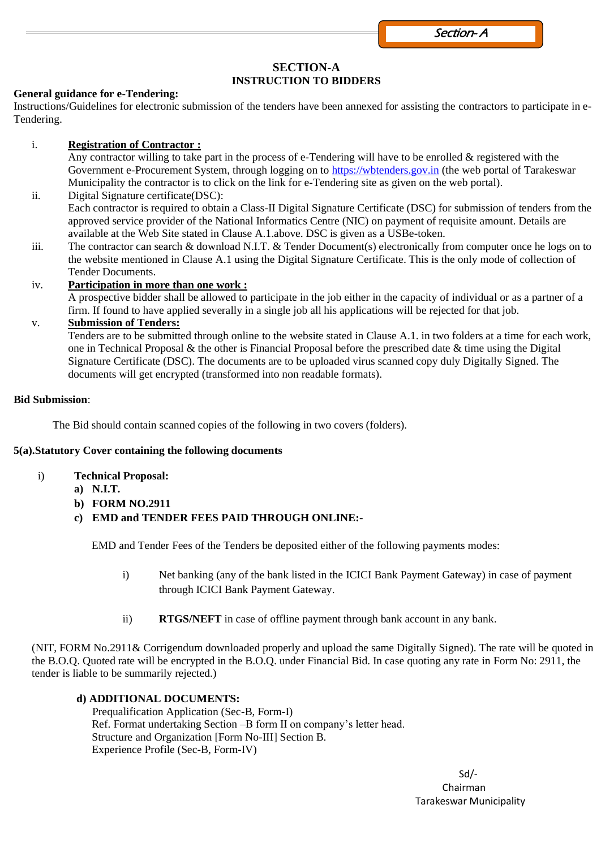Section- A

# **SECTION-A INSTRUCTION TO BIDDERS**

## **General guidance for e-Tendering:**

Instructions/Guidelines for electronic submission of the tenders have been annexed for assisting the contractors to participate in e-Tendering.

# i. **Registration of Contractor :**

Any contractor willing to take part in the process of e-Tendering will have to be enrolled & registered with the Government e-Procurement System, through logging on to [https://wbtenders.gov.in](https://wbtenders.gov.in/) (the web portal of Tarakeswar Municipality the contractor is to click on the link for e-Tendering site as given on the web portal).

- ii. Digital Signature certificate(DSC): Each contractor is required to obtain a Class-II Digital Signature Certificate (DSC) for submission of tenders from the approved service provider of the National Informatics Centre (NIC) on payment of requisite amount. Details are available at the Web Site stated in Clause A.1.above. DSC is given as a USBe-token.
- iii. The contractor can search & download N.I.T. & Tender Document(s) electronically from computer once he logs on to the website mentioned in Clause A.1 using the Digital Signature Certificate. This is the only mode of collection of Tender Documents.

# iv. **Participation in more than one work :**

A prospective bidder shall be allowed to participate in the job either in the capacity of individual or as a partner of a firm. If found to have applied severally in a single job all his applications will be rejected for that job.

# v. **Submission of Tenders:**

Tenders are to be submitted through online to the website stated in Clause A.1. in two folders at a time for each work, one in Technical Proposal & the other is Financial Proposal before the prescribed date  $\&$  time using the Digital Signature Certificate (DSC). The documents are to be uploaded virus scanned copy duly Digitally Signed. The documents will get encrypted (transformed into non readable formats).

#### **Bid Submission**:

The Bid should contain scanned copies of the following in two covers (folders).

# **5(a).Statutory Cover containing the following documents**

- i) **Technical Proposal:**
	- **a) N.I.T.**
		- **b) FORM NO.2911**
		- **c) EMD and TENDER FEES PAID THROUGH ONLINE:-**

EMD and Tender Fees of the Tenders be deposited either of the following payments modes:

- i) Net banking (any of the bank listed in the ICICI Bank Payment Gateway) in case of payment through ICICI Bank Payment Gateway.
- ii) **RTGS/NEFT** in case of offline payment through bank account in any bank.

(NIT, FORM No.2911& Corrigendum downloaded properly and upload the same Digitally Signed). The rate will be quoted in the B.O.Q. Quoted rate will be encrypted in the B.O.Q. under Financial Bid. In case quoting any rate in Form No: 2911, the tender is liable to be summarily rejected.)

# **d) ADDITIONAL DOCUMENTS:**

Prequalification Application (Sec-B, Form-I) Ref. Format undertaking Section –B form II on company's letter head. Structure and Organization [Form No-III] Section B. Experience Profile (Sec-B, Form-IV)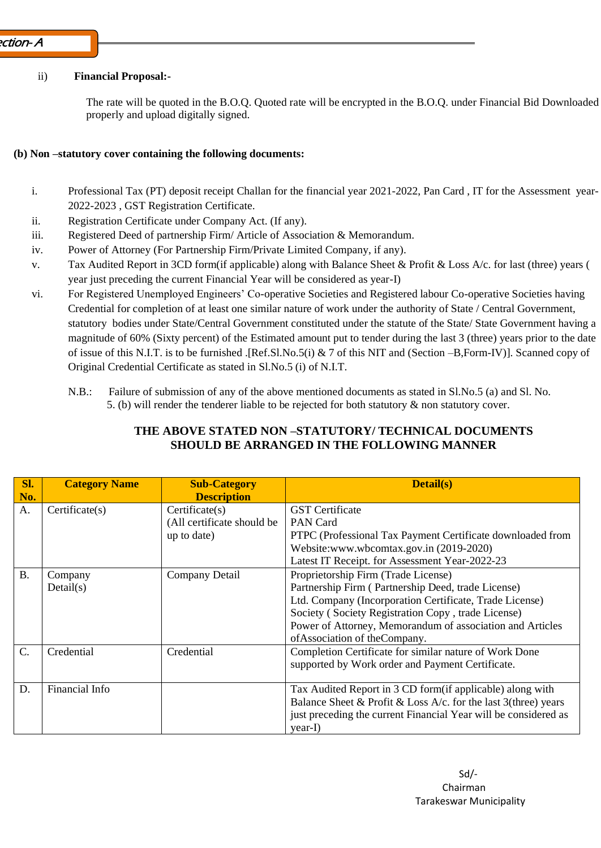## ii) **Financial Proposal:-**

The rate will be quoted in the B.O.Q. Quoted rate will be encrypted in the B.O.Q. under Financial Bid Downloaded properly and upload digitally signed.

## **(b) Non –statutory cover containing the following documents:**

- i. Professional Tax (PT) deposit receipt Challan for the financial year 2021-2022, Pan Card , IT for the Assessment year-2022-2023 , GST Registration Certificate.
- ii. Registration Certificate under Company Act. (If any).
- iii. Registered Deed of partnership Firm/ Article of Association & Memorandum.
- iv. Power of Attorney (For Partnership Firm/Private Limited Company, if any).
- v. Tax Audited Report in 3CD form(if applicable) along with Balance Sheet & Profit & Loss A/c. for last (three) years ( year just preceding the current Financial Year will be considered as year-I)
- vi. For Registered Unemployed Engineers' Co-operative Societies and Registered labour Co-operative Societies having Credential for completion of at least one similar nature of work under the authority of State / Central Government, statutory bodies under State/Central Government constituted under the statute of the State/ State Government having a magnitude of 60% (Sixty percent) of the Estimated amount put to tender during the last 3 (three) years prior to the date of issue of this N.I.T. is to be furnished .[Ref.Sl.No.5(i) & 7 of this NIT and (Section –B,Form-IV)]. Scanned copy of Original Credential Certificate as stated in Sl.No.5 (i) of N.I.T.
	- N.B.: Failure of submission of any of the above mentioned documents as stated in Sl.No.5 (a) and Sl. No. 5. (b) will render the tenderer liable to be rejected for both statutory  $\&$  non statutory cover.

| Sl.<br>No.      | <b>Category Name</b> | <b>Sub-Category</b><br><b>Description</b>                            | Detail(s)                                                                                                                                                                                                                                                                                                 |
|-----------------|----------------------|----------------------------------------------------------------------|-----------------------------------------------------------------------------------------------------------------------------------------------------------------------------------------------------------------------------------------------------------------------------------------------------------|
| A.              | Certificeate(s)      | $\text{Certificate}(s)$<br>(All certificate should be<br>up to date) | <b>GST</b> Certificate<br>PAN Card<br>PTPC (Professional Tax Payment Certificate downloaded from<br>Website:www.wbcomtax.gov.in (2019-2020)<br>Latest IT Receipt. for Assessment Year-2022-23                                                                                                             |
| <b>B.</b>       | Company<br>Details)  | Company Detail                                                       | Proprietorship Firm (Trade License)<br>Partnership Firm (Partnership Deed, trade License)<br>Ltd. Company (Incorporation Certificate, Trade License)<br>Society (Society Registration Copy, trade License)<br>Power of Attorney, Memorandum of association and Articles<br>of Association of the Company. |
| $\mathcal{C}$ . | Credential           | Credential                                                           | Completion Certificate for similar nature of Work Done<br>supported by Work order and Payment Certificate.                                                                                                                                                                                                |
| D.              | Financial Info       |                                                                      | Tax Audited Report in 3 CD form (if applicable) along with<br>Balance Sheet & Profit & Loss A/c. for the last $3$ (three) years<br>just preceding the current Financial Year will be considered as<br>year-I)                                                                                             |

# **THE ABOVE STATED NON –STATUTORY/ TECHNICAL DOCUMENTS SHOULD BE ARRANGED IN THE FOLLOWING MANNER**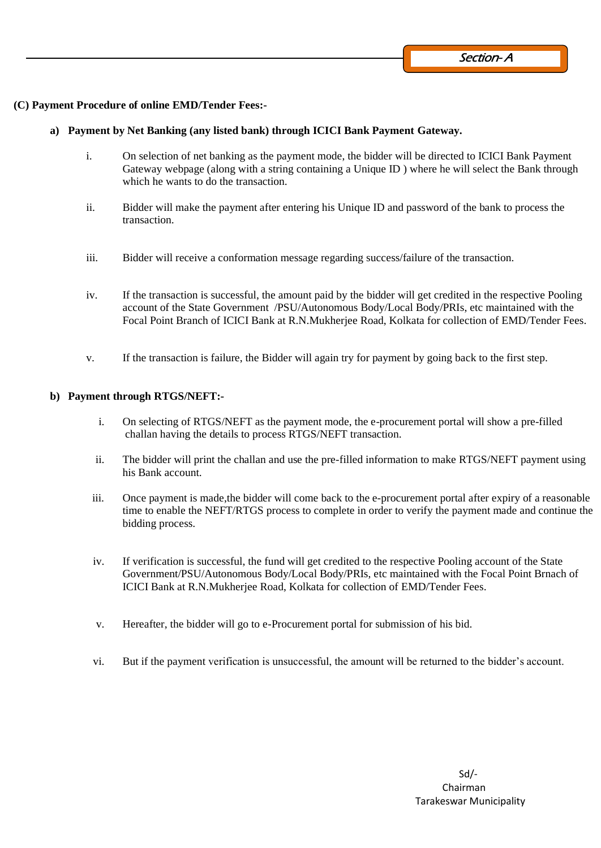#### **(C) Payment Procedure of online EMD/Tender Fees:-**

#### **a) Payment by Net Banking (any listed bank) through ICICI Bank Payment Gateway.**

- i. On selection of net banking as the payment mode, the bidder will be directed to ICICI Bank Payment Gateway webpage (along with a string containing a Unique ID ) where he will select the Bank through which he wants to do the transaction.
- ii. Bidder will make the payment after entering his Unique ID and password of the bank to process the transaction.
- iii. Bidder will receive a conformation message regarding success/failure of the transaction.
- iv. If the transaction is successful, the amount paid by the bidder will get credited in the respective Pooling account of the State Government /PSU/Autonomous Body/Local Body/PRIs, etc maintained with the Focal Point Branch of ICICI Bank at R.N.Mukherjee Road, Kolkata for collection of EMD/Tender Fees.
- v. If the transaction is failure, the Bidder will again try for payment by going back to the first step.

#### **b) Payment through RTGS/NEFT:-**

- i. On selecting of RTGS/NEFT as the payment mode, the e-procurement portal will show a pre-filled challan having the details to process RTGS/NEFT transaction.
- ii. The bidder will print the challan and use the pre-filled information to make RTGS/NEFT payment using his Bank account.
- iii. Once payment is made,the bidder will come back to the e-procurement portal after expiry of a reasonable time to enable the NEFT/RTGS process to complete in order to verify the payment made and continue the bidding process.
- iv. If verification is successful, the fund will get credited to the respective Pooling account of the State Government/PSU/Autonomous Body/Local Body/PRIs, etc maintained with the Focal Point Brnach of ICICI Bank at R.N.Mukherjee Road, Kolkata for collection of EMD/Tender Fees.
- v. Hereafter, the bidder will go to e-Procurement portal for submission of his bid.
- vi. But if the payment verification is unsuccessful, the amount will be returned to the bidder's account.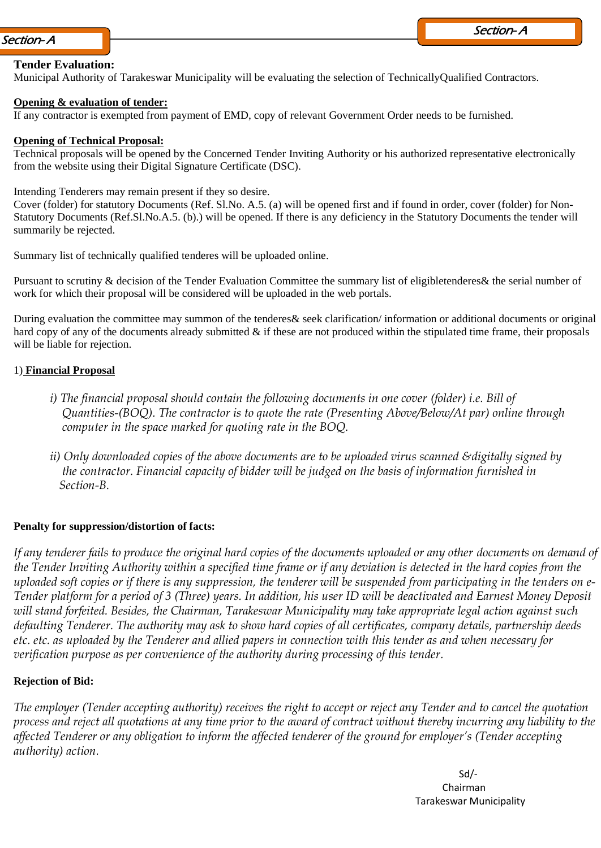#### **Tender Evaluation:**

Municipal Authority of Tarakeswar Municipality will be evaluating the selection of TechnicallyQualified Contractors.

#### **Opening & evaluation of tender:**

If any contractor is exempted from payment of EMD, copy of relevant Government Order needs to be furnished.

#### **Opening of Technical Proposal:**

Technical proposals will be opened by the Concerned Tender Inviting Authority or his authorized representative electronically from the website using their Digital Signature Certificate (DSC).

Intending Tenderers may remain present if they so desire.

Cover (folder) for statutory Documents (Ref. Sl.No. A.5. (a) will be opened first and if found in order, cover (folder) for Non-Statutory Documents (Ref.Sl.No.A.5. (b).) will be opened. If there is any deficiency in the Statutory Documents the tender will summarily be rejected.

Summary list of technically qualified tenderes will be uploaded online.

Pursuant to scrutiny & decision of the Tender Evaluation Committee the summary list of eligibletenderes& the serial number of work for which their proposal will be considered will be uploaded in the web portals.

During evaluation the committee may summon of the tenderes& seek clarification/ information or additional documents or original hard copy of any of the documents already submitted  $\&$  if these are not produced within the stipulated time frame, their proposals will be liable for rejection.

#### 1) **Financial Proposal**

- *i) The financial proposal should contain the following documents in one cover (folder) i.e. Bill of Quantities-(BOQ). The contractor is to quote the rate (Presenting Above/Below/At par) online through computer in the space marked for quoting rate in the BOQ.*
- *ii) Only downloaded copies of the above documents are to be uploaded virus scanned &digitally signed by the contractor. Financial capacity of bidder will be judged on the basis of information furnished in Section-B.*

#### **Penalty for suppression/distortion of facts:**

*If any tenderer fails to produce the original hard copies of the documents uploaded or any other documents on demand of*  the Tender Inviting Authority within a specified time frame or if any deviation is detected in the hard copies from the *uploaded soft copies or if there is any suppression, the tenderer will be suspended from participating in the tenders on e-Tender platform for a period of 3 (Three) years. In addition, his user ID will be deactivated and Earnest Money Deposit will stand forfeited. Besides, the Chairman, Tarakeswar Municipality may take appropriate legal action against such defaulting Tenderer. The authority may ask to show hard copies of all certificates, company details, partnership deeds etc. etc. as uploaded by the Tenderer and allied papers in connection with this tender as and when necessary for verification purpose as per convenience of the authority during processing of this tender.*

#### **Rejection of Bid:**

*The employer (Tender accepting authority) receives the right to accept or reject any Tender and to cancel the quotation process and reject all quotations at any time prior to the award of contract without thereby incurring any liability to the affected Tenderer or any obligation to inform the affected tenderer of the ground for employer's (Tender accepting authority) action.*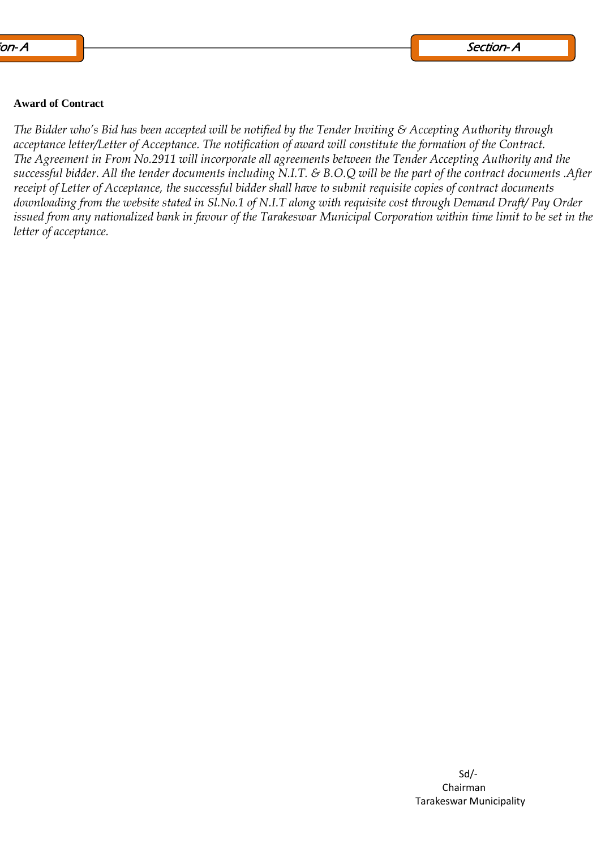#### **Award of Contract**

*The Bidder who's Bid has been accepted will be notified by the Tender Inviting & Accepting Authority through acceptance letter/Letter of Acceptance. The notification of award will constitute the formation of the Contract. The Agreement in From No.2911 will incorporate all agreements between the Tender Accepting Authority and the successful bidder. All the tender documents including N.I.T. & B.O.Q will be the part of the contract documents .After receipt of Letter of Acceptance, the successful bidder shall have to submit requisite copies of contract documents downloading from the website stated in Sl.No.1 of N.I.T along with requisite cost through Demand Draft/ Pay Order issued from any nationalized bank in favour of the Tarakeswar Municipal Corporation within time limit to be set in the letter of acceptance.*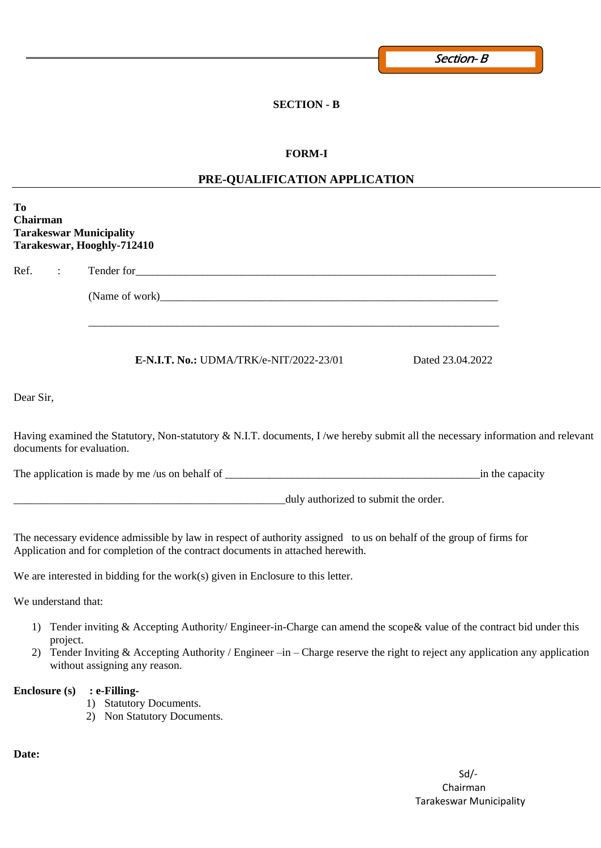# **SECTION - B**

## **FORM-I**

# **PRE-QUALIFICATION APPLICATION**

| To<br><b>Chairman</b><br><b>Tarakeswar Municipality</b> | Tarakeswar, Hooghly-712410                                                                                                                                                                                                                                                             |                  |                 |
|---------------------------------------------------------|----------------------------------------------------------------------------------------------------------------------------------------------------------------------------------------------------------------------------------------------------------------------------------------|------------------|-----------------|
| Ref.<br>$\mathcal{L}^{\text{max}}$                      |                                                                                                                                                                                                                                                                                        |                  |                 |
|                                                         |                                                                                                                                                                                                                                                                                        |                  |                 |
|                                                         | <b>E-N.I.T. No.: UDMA/TRK/e-NIT/2022-23/01</b>                                                                                                                                                                                                                                         | Dated 23.04.2022 |                 |
| Dear Sir,                                               |                                                                                                                                                                                                                                                                                        |                  |                 |
| documents for evaluation.                               | Having examined the Statutory, Non-statutory & N.I.T. documents, I/we hereby submit all the necessary information and relevant                                                                                                                                                         |                  |                 |
|                                                         |                                                                                                                                                                                                                                                                                        |                  | in the capacity |
|                                                         | duly authorized to submit the order.                                                                                                                                                                                                                                                   |                  |                 |
|                                                         | The necessary evidence admissible by law in respect of authority assigned to us on behalf of the group of firms for<br>Application and for completion of the contract documents in attached herewith.                                                                                  |                  |                 |
|                                                         | We are interested in bidding for the work $(s)$ given in Enclosure to this letter.                                                                                                                                                                                                     |                  |                 |
| We understand that:                                     |                                                                                                                                                                                                                                                                                        |                  |                 |
| project.                                                | 1) Tender inviting & Accepting Authority/Engineer-in-Charge can amend the scope & value of the contract bid under this<br>Tender Inviting & Accepting Authority / Engineer $-in$ – Charge reserve the right to reject any application any application<br>without assigning any reason. |                  |                 |
| <b>Enclosure (s)</b>                                    | : e-Filling-<br>1) Statutory Documents.<br>2) Non Statutory Documents.                                                                                                                                                                                                                 |                  |                 |

**Date:**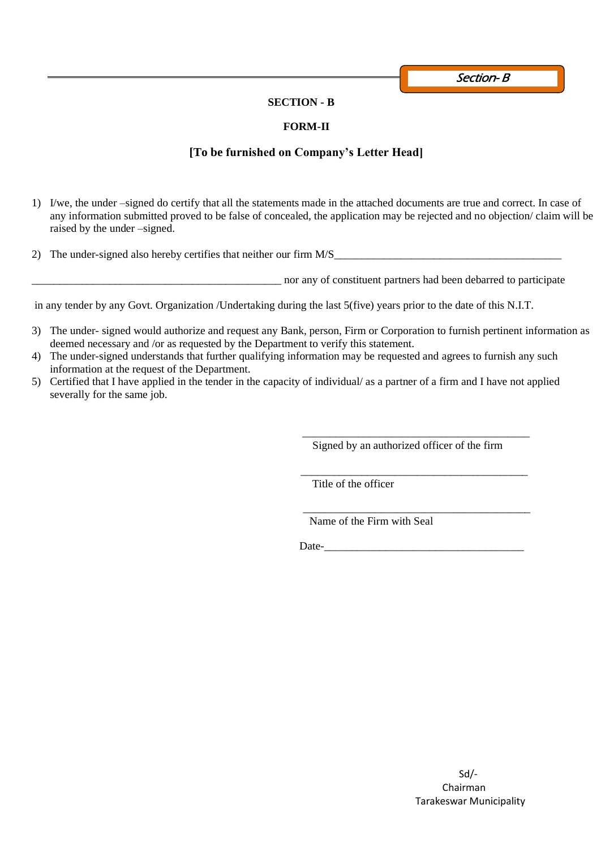Section-B

#### **SECTION - B**

## **FORM-II**

# **[To be furnished on Company's Letter Head]**

- 1) I/we, the under –signed do certify that all the statements made in the attached documents are true and correct. In case of any information submitted proved to be false of concealed, the application may be rejected and no objection/ claim will be raised by the under –signed.
- 2) The under-signed also hereby certifies that neither our firm M/S\_\_\_\_\_\_\_\_\_\_\_\_\_\_\_\_\_\_\_\_\_\_\_\_\_\_\_\_\_\_\_\_\_\_\_\_\_\_\_\_\_

\_\_\_\_\_\_\_\_\_\_\_\_\_\_\_\_\_\_\_\_\_\_\_\_\_\_\_\_\_\_\_\_\_\_\_\_\_\_\_\_\_\_\_\_\_ nor any of constituent partners had been debarred to participate

in any tender by any Govt. Organization /Undertaking during the last 5(five) years prior to the date of this N.I.T.

- 3) The under- signed would authorize and request any Bank, person, Firm or Corporation to furnish pertinent information as deemed necessary and /or as requested by the Department to verify this statement.
- 4) The under-signed understands that further qualifying information may be requested and agrees to furnish any such information at the request of the Department.
- 5) Certified that I have applied in the tender in the capacity of individual/ as a partner of a firm and I have not applied severally for the same job.

 $\overline{\phantom{a}}$  , and the contract of the contract of the contract of the contract of the contract of the contract of the contract of the contract of the contract of the contract of the contract of the contract of the contrac

Signed by an authorized officer of the firm

 $\overline{\phantom{a}}$  ,  $\overline{\phantom{a}}$  ,  $\overline{\phantom{a}}$  ,  $\overline{\phantom{a}}$  ,  $\overline{\phantom{a}}$  ,  $\overline{\phantom{a}}$  ,  $\overline{\phantom{a}}$  ,  $\overline{\phantom{a}}$  ,  $\overline{\phantom{a}}$  ,  $\overline{\phantom{a}}$  ,  $\overline{\phantom{a}}$  ,  $\overline{\phantom{a}}$  ,  $\overline{\phantom{a}}$  ,  $\overline{\phantom{a}}$  ,  $\overline{\phantom{a}}$  ,  $\overline{\phantom{a}}$ 

Title of the officer

 \_\_\_\_\_\_\_\_\_\_\_\_\_\_\_\_\_\_\_\_\_\_\_\_\_\_\_\_\_\_\_\_\_\_\_\_\_\_\_\_\_ Name of the Firm with Seal

Date-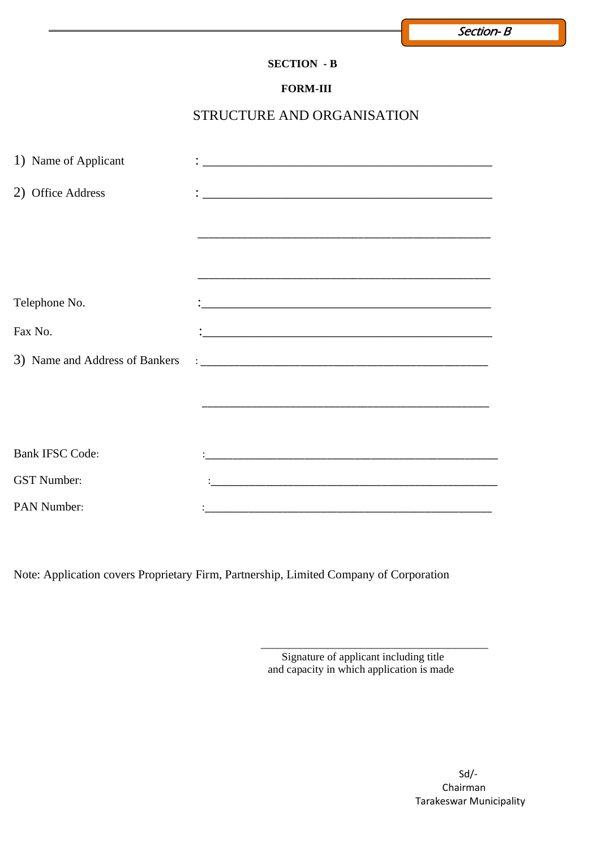# **SECTION - B**

## **FORM-III**

# STRUCTURE AND ORGANISATION

| 1) Name of Applicant   |                                                                                                                      |
|------------------------|----------------------------------------------------------------------------------------------------------------------|
| 2) Office Address      | <u> 2000 - 2000 - 2000 - 2000 - 2000 - 2000 - 2000 - 2000 - 2000 - 2000 - 2000 - 2000 - 2000 - 2000 - 2000 - 200</u> |
|                        |                                                                                                                      |
|                        |                                                                                                                      |
|                        |                                                                                                                      |
| Telephone No.          |                                                                                                                      |
| Fax No.                |                                                                                                                      |
|                        |                                                                                                                      |
|                        |                                                                                                                      |
|                        |                                                                                                                      |
|                        |                                                                                                                      |
| <b>Bank IFSC Code:</b> |                                                                                                                      |
| <b>GST</b> Number:     |                                                                                                                      |
| PAN Number:            |                                                                                                                      |

Note: Application covers Proprietary Firm, Partnership, Limited Company of Corporation

 $\overline{\phantom{a}}$  , and the contract of the contract of the contract of the contract of the contract of the contract of the contract of the contract of the contract of the contract of the contract of the contract of the contrac

 Signature of applicant including title and capacity in which application is made